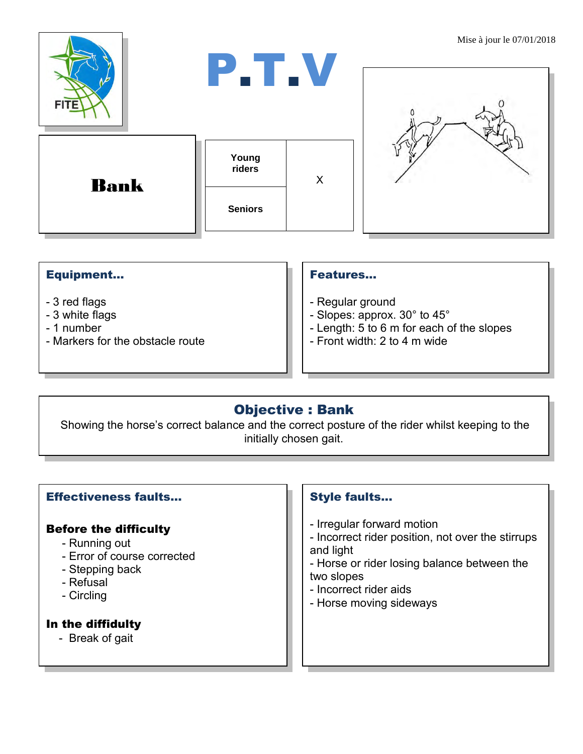

#### Equipment...

- 3 red flags
- 3 white flags
- 1 number
- Markers for the obstacle route

#### Features…

- Regular ground
- Slopes: approx. 30° to 45°
- Length: 5 to 6 m for each of the slopes
- Front width: 2 to 4 m wide

# Objective : Bank

Showing the horse's correct balance and the correct posture of the rider whilst keeping to the initially chosen gait.

## Effectiveness faults…

#### Before the difficulty

- Running out
- Error of course corrected
- Stepping back
- Refusal
- Circling

## In the diffidulty

- Break of gait

## Style faults...

- Irregular forward motion
- Incorrect rider position, not over the stirrups and light
- Horse or rider losing balance between the two slopes
- Incorrect rider aids
- Horse moving sideways